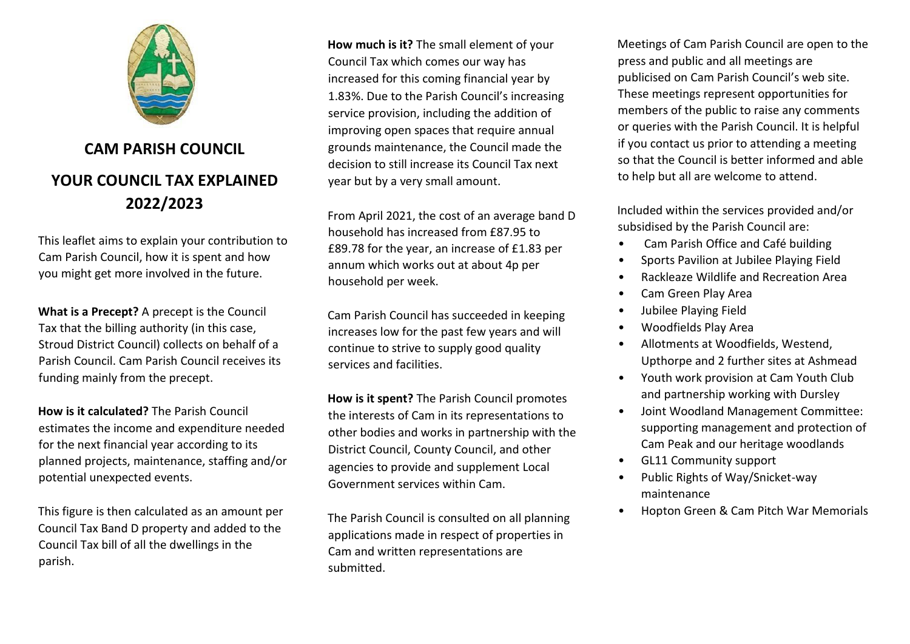

## **CAM PARISH COUNCIL YOUR COUNCIL TAX EXPLAINED 2022/2023**

This leaflet aims to explain your contribution to Cam Parish Council, how it is spent and how you might get more involved in the future.

**What is a Precept?** A precept is the Council Tax that the billing authority (in this case, Stroud District Council) collects on behalf of a Parish Council. Cam Parish Council receives its funding mainly from the precept.

**How is it calculated?** The Parish Council estimates the income and expenditure needed for the next financial year according to its planned projects, maintenance, staffing and/or potential unexpected events.

This figure is then calculated as an amount per Council Tax Band D property and added to the Council Tax bill of all the dwellings in the parish.

**How much is it?** The small element of your Council Tax which comes our way has increased for this coming financial year by 1.83%. Due to the Parish Council's increasing service provision, including the addition of improving open spaces that require annual grounds maintenance, the Council made the decision to still increase its Council Tax next year but by a very small amount.

From April 2021, the cost of an average band D household has increased from £87.95 to £89.78 for the year, an increase of £1.83 per annum which works out at about 4p per household per week.

Cam Parish Council has succeeded in keeping increases low for the past few years and will continue to strive to supply good quality services and facilities.

**How is it spent?** The Parish Council promotes the interests of Cam in its representations to other bodies and works in partnership with the District Council, County Council, and other agencies to provide and supplement Local Government services within Cam.

The Parish Council is consulted on all planning applications made in respect of properties in Cam and written representations are submitted.

Meetings of Cam Parish Council are open to the press and public and all meetings are publicised on Cam Parish Council's web site. These meetings represent opportunities for members of the public to raise any comments or queries with the Parish Council. It is helpful if you contact us prior to attending a meeting so that the Council is better informed and able to help but all are welcome to attend.

Included within the services provided and/or subsidised by the Parish Council are:

- Cam Parish Office and Café building
- Sports Pavilion at Jubilee Playing Field
- Rackleaze Wildlife and Recreation Area
- Cam Green Play Area
- Jubilee Playing Field
- Woodfields Play Area
- Allotments at Woodfields, Westend, Upthorpe and 2 further sites at Ashmead
- Youth work provision at Cam Youth Club and partnership working with Dursley
- Joint Woodland Management Committee: supporting management and protection of Cam Peak and our heritage woodlands
- GL11 Community support
- Public Rights of Way/Snicket-way maintenance
- Hopton Green & Cam Pitch War Memorials